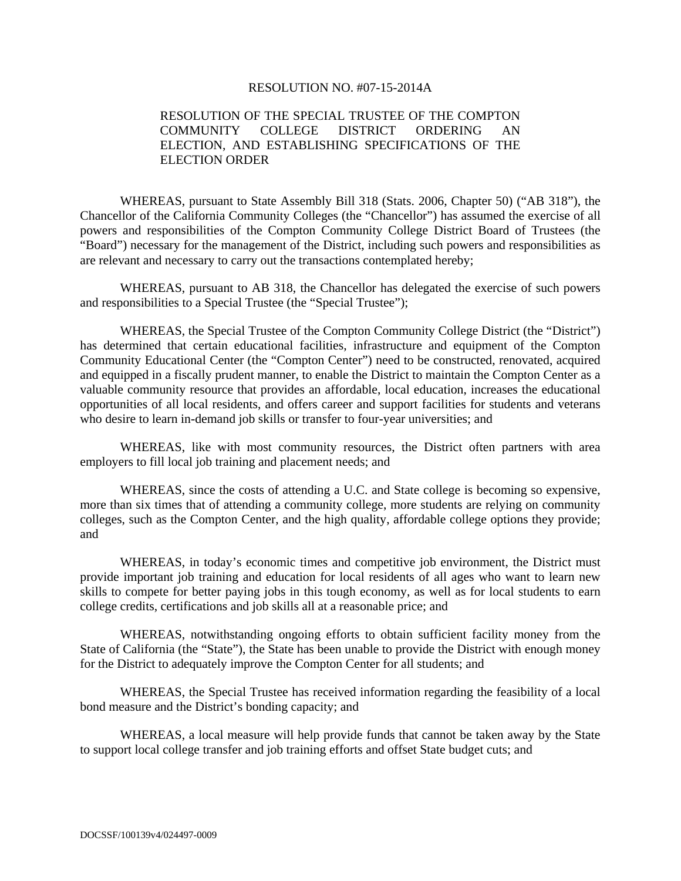### RESOLUTION NO. #07-15-2014A

## RESOLUTION OF THE SPECIAL TRUSTEE OF THE COMPTON COMMUNITY COLLEGE DISTRICT ORDERING AN ELECTION, AND ESTABLISHING SPECIFICATIONS OF THE ELECTION ORDER

WHEREAS, pursuant to State Assembly Bill 318 (Stats. 2006, Chapter 50) ("AB 318"), the Chancellor of the California Community Colleges (the "Chancellor") has assumed the exercise of all powers and responsibilities of the Compton Community College District Board of Trustees (the "Board") necessary for the management of the District, including such powers and responsibilities as are relevant and necessary to carry out the transactions contemplated hereby;

WHEREAS, pursuant to AB 318, the Chancellor has delegated the exercise of such powers and responsibilities to a Special Trustee (the "Special Trustee");

WHEREAS, the Special Trustee of the Compton Community College District (the "District") has determined that certain educational facilities, infrastructure and equipment of the Compton Community Educational Center (the "Compton Center") need to be constructed, renovated, acquired and equipped in a fiscally prudent manner, to enable the District to maintain the Compton Center as a valuable community resource that provides an affordable, local education, increases the educational opportunities of all local residents, and offers career and support facilities for students and veterans who desire to learn in-demand job skills or transfer to four-year universities; and

WHEREAS, like with most community resources, the District often partners with area employers to fill local job training and placement needs; and

WHEREAS, since the costs of attending a U.C. and State college is becoming so expensive, more than six times that of attending a community college, more students are relying on community colleges, such as the Compton Center, and the high quality, affordable college options they provide; and

WHEREAS, in today's economic times and competitive job environment, the District must provide important job training and education for local residents of all ages who want to learn new skills to compete for better paying jobs in this tough economy, as well as for local students to earn college credits, certifications and job skills all at a reasonable price; and

WHEREAS, notwithstanding ongoing efforts to obtain sufficient facility money from the State of California (the "State"), the State has been unable to provide the District with enough money for the District to adequately improve the Compton Center for all students; and

WHEREAS, the Special Trustee has received information regarding the feasibility of a local bond measure and the District's bonding capacity; and

WHEREAS, a local measure will help provide funds that cannot be taken away by the State to support local college transfer and job training efforts and offset State budget cuts; and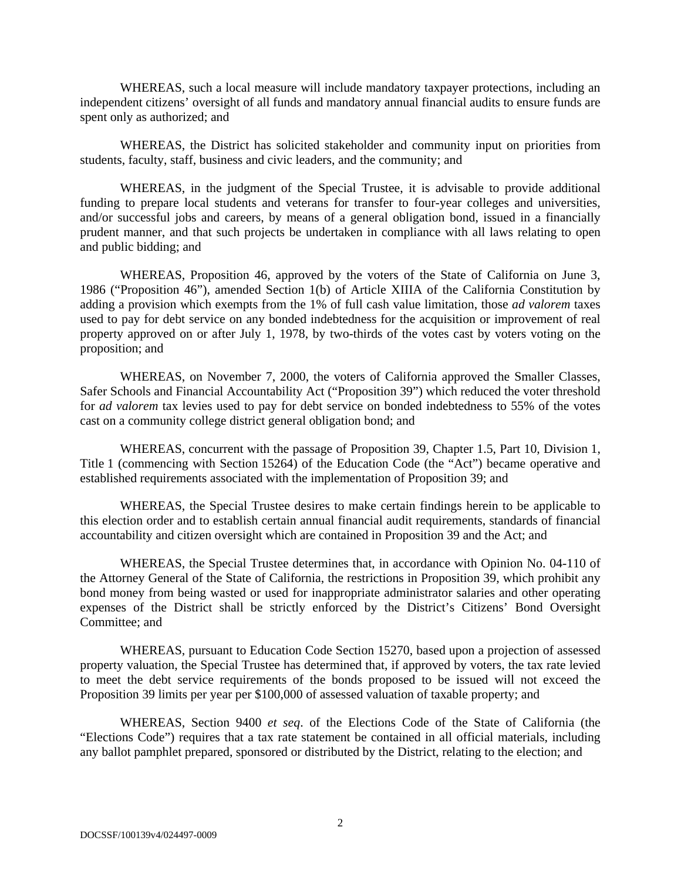WHEREAS, such a local measure will include mandatory taxpayer protections, including an independent citizens' oversight of all funds and mandatory annual financial audits to ensure funds are spent only as authorized; and

WHEREAS, the District has solicited stakeholder and community input on priorities from students, faculty, staff, business and civic leaders, and the community; and

WHEREAS, in the judgment of the Special Trustee, it is advisable to provide additional funding to prepare local students and veterans for transfer to four-year colleges and universities, and/or successful jobs and careers, by means of a general obligation bond, issued in a financially prudent manner, and that such projects be undertaken in compliance with all laws relating to open and public bidding; and

WHEREAS, Proposition 46, approved by the voters of the State of California on June 3, 1986 ("Proposition 46"), amended Section 1(b) of Article XIIIA of the California Constitution by adding a provision which exempts from the 1% of full cash value limitation, those *ad valorem* taxes used to pay for debt service on any bonded indebtedness for the acquisition or improvement of real property approved on or after July 1, 1978, by two-thirds of the votes cast by voters voting on the proposition; and

WHEREAS, on November 7, 2000, the voters of California approved the Smaller Classes, Safer Schools and Financial Accountability Act ("Proposition 39") which reduced the voter threshold for *ad valorem* tax levies used to pay for debt service on bonded indebtedness to 55% of the votes cast on a community college district general obligation bond; and

WHEREAS, concurrent with the passage of Proposition 39, Chapter 1.5, Part 10, Division 1, Title 1 (commencing with Section 15264) of the Education Code (the "Act") became operative and established requirements associated with the implementation of Proposition 39; and

WHEREAS, the Special Trustee desires to make certain findings herein to be applicable to this election order and to establish certain annual financial audit requirements, standards of financial accountability and citizen oversight which are contained in Proposition 39 and the Act; and

WHEREAS, the Special Trustee determines that, in accordance with Opinion No. 04-110 of the Attorney General of the State of California, the restrictions in Proposition 39, which prohibit any bond money from being wasted or used for inappropriate administrator salaries and other operating expenses of the District shall be strictly enforced by the District's Citizens' Bond Oversight Committee; and

WHEREAS, pursuant to Education Code Section 15270, based upon a projection of assessed property valuation, the Special Trustee has determined that, if approved by voters, the tax rate levied to meet the debt service requirements of the bonds proposed to be issued will not exceed the Proposition 39 limits per year per \$100,000 of assessed valuation of taxable property; and

WHEREAS, Section 9400 *et seq*. of the Elections Code of the State of California (the "Elections Code") requires that a tax rate statement be contained in all official materials, including any ballot pamphlet prepared, sponsored or distributed by the District, relating to the election; and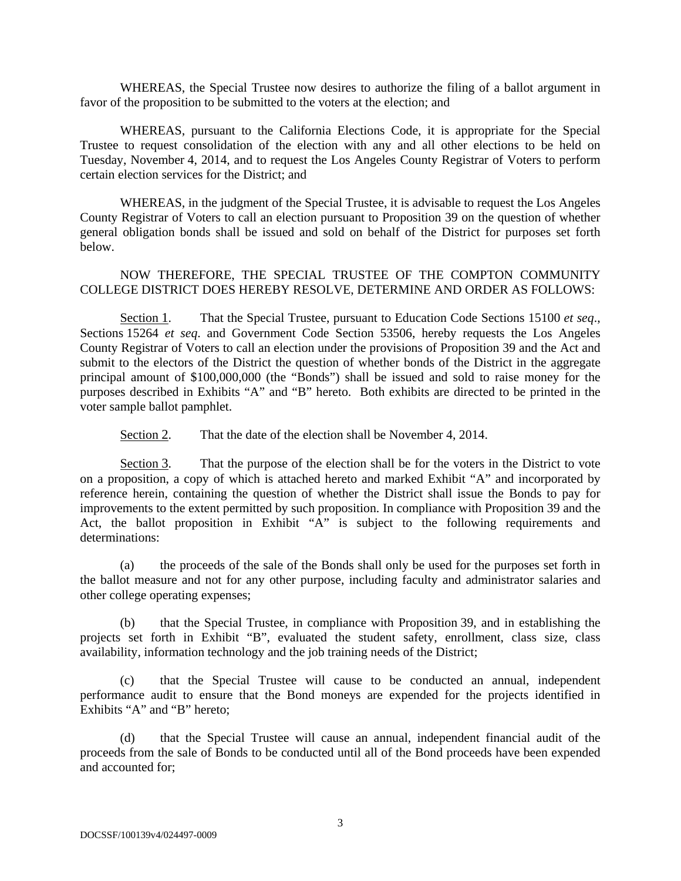WHEREAS, the Special Trustee now desires to authorize the filing of a ballot argument in favor of the proposition to be submitted to the voters at the election; and

WHEREAS, pursuant to the California Elections Code, it is appropriate for the Special Trustee to request consolidation of the election with any and all other elections to be held on Tuesday, November 4, 2014, and to request the Los Angeles County Registrar of Voters to perform certain election services for the District; and

WHEREAS, in the judgment of the Special Trustee, it is advisable to request the Los Angeles County Registrar of Voters to call an election pursuant to Proposition 39 on the question of whether general obligation bonds shall be issued and sold on behalf of the District for purposes set forth below.

NOW THEREFORE, THE SPECIAL TRUSTEE OF THE COMPTON COMMUNITY COLLEGE DISTRICT DOES HEREBY RESOLVE, DETERMINE AND ORDER AS FOLLOWS:

Section 1. That the Special Trustee, pursuant to Education Code Sections 15100 *et seq*., Sections 15264 *et seq*. and Government Code Section 53506, hereby requests the Los Angeles County Registrar of Voters to call an election under the provisions of Proposition 39 and the Act and submit to the electors of the District the question of whether bonds of the District in the aggregate principal amount of \$100,000,000 (the "Bonds") shall be issued and sold to raise money for the purposes described in Exhibits "A" and "B" hereto. Both exhibits are directed to be printed in the voter sample ballot pamphlet.

Section 2. That the date of the election shall be November 4, 2014.

Section 3. That the purpose of the election shall be for the voters in the District to vote on a proposition, a copy of which is attached hereto and marked Exhibit "A" and incorporated by reference herein, containing the question of whether the District shall issue the Bonds to pay for improvements to the extent permitted by such proposition. In compliance with Proposition 39 and the Act, the ballot proposition in Exhibit "A" is subject to the following requirements and determinations:

(a) the proceeds of the sale of the Bonds shall only be used for the purposes set forth in the ballot measure and not for any other purpose, including faculty and administrator salaries and other college operating expenses;

(b) that the Special Trustee, in compliance with Proposition 39, and in establishing the projects set forth in Exhibit "B", evaluated the student safety, enrollment, class size, class availability, information technology and the job training needs of the District;

(c) that the Special Trustee will cause to be conducted an annual, independent performance audit to ensure that the Bond moneys are expended for the projects identified in Exhibits "A" and "B" hereto;

(d) that the Special Trustee will cause an annual, independent financial audit of the proceeds from the sale of Bonds to be conducted until all of the Bond proceeds have been expended and accounted for;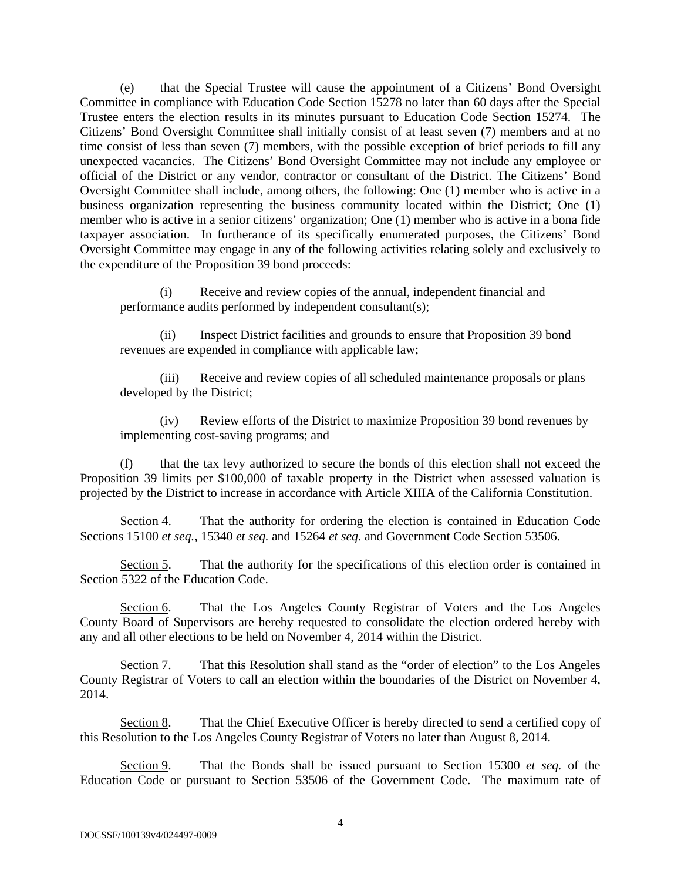(e) that the Special Trustee will cause the appointment of a Citizens' Bond Oversight Committee in compliance with Education Code Section 15278 no later than 60 days after the Special Trustee enters the election results in its minutes pursuant to Education Code Section 15274. The Citizens' Bond Oversight Committee shall initially consist of at least seven (7) members and at no time consist of less than seven (7) members, with the possible exception of brief periods to fill any unexpected vacancies. The Citizens' Bond Oversight Committee may not include any employee or official of the District or any vendor, contractor or consultant of the District. The Citizens' Bond Oversight Committee shall include, among others, the following: One (1) member who is active in a business organization representing the business community located within the District; One (1) member who is active in a senior citizens' organization; One (1) member who is active in a bona fide taxpayer association. In furtherance of its specifically enumerated purposes, the Citizens' Bond Oversight Committee may engage in any of the following activities relating solely and exclusively to the expenditure of the Proposition 39 bond proceeds:

(i) Receive and review copies of the annual, independent financial and performance audits performed by independent consultant(s);

(ii) Inspect District facilities and grounds to ensure that Proposition 39 bond revenues are expended in compliance with applicable law;

(iii) Receive and review copies of all scheduled maintenance proposals or plans developed by the District;

(iv) Review efforts of the District to maximize Proposition 39 bond revenues by implementing cost-saving programs; and

(f) that the tax levy authorized to secure the bonds of this election shall not exceed the Proposition 39 limits per \$100,000 of taxable property in the District when assessed valuation is projected by the District to increase in accordance with Article XIIIA of the California Constitution.

Section 4. That the authority for ordering the election is contained in Education Code Sections 15100 *et seq.*, 15340 *et seq.* and 15264 *et seq.* and Government Code Section 53506.

Section 5. That the authority for the specifications of this election order is contained in Section 5322 of the Education Code.

Section 6. That the Los Angeles County Registrar of Voters and the Los Angeles County Board of Supervisors are hereby requested to consolidate the election ordered hereby with any and all other elections to be held on November 4, 2014 within the District.

Section 7. That this Resolution shall stand as the "order of election" to the Los Angeles County Registrar of Voters to call an election within the boundaries of the District on November 4, 2014.

Section 8. That the Chief Executive Officer is hereby directed to send a certified copy of this Resolution to the Los Angeles County Registrar of Voters no later than August 8, 2014.

Section 9. That the Bonds shall be issued pursuant to Section 15300 *et seq.* of the Education Code or pursuant to Section 53506 of the Government Code. The maximum rate of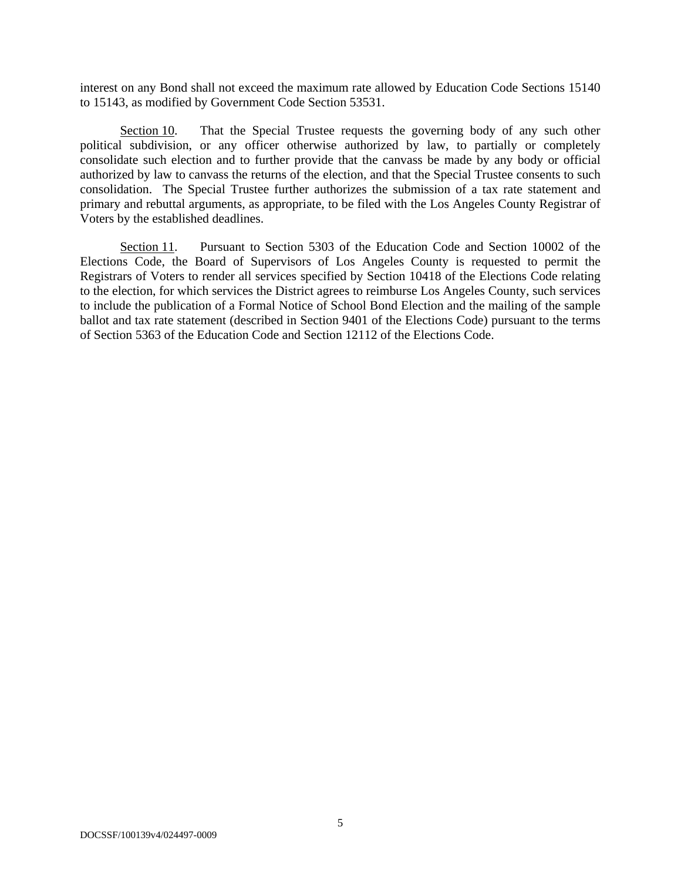interest on any Bond shall not exceed the maximum rate allowed by Education Code Sections 15140 to 15143, as modified by Government Code Section 53531.

Section 10. That the Special Trustee requests the governing body of any such other political subdivision, or any officer otherwise authorized by law, to partially or completely consolidate such election and to further provide that the canvass be made by any body or official authorized by law to canvass the returns of the election, and that the Special Trustee consents to such consolidation. The Special Trustee further authorizes the submission of a tax rate statement and primary and rebuttal arguments, as appropriate, to be filed with the Los Angeles County Registrar of Voters by the established deadlines.

Section 11. Pursuant to Section 5303 of the Education Code and Section 10002 of the Elections Code, the Board of Supervisors of Los Angeles County is requested to permit the Registrars of Voters to render all services specified by Section 10418 of the Elections Code relating to the election, for which services the District agrees to reimburse Los Angeles County, such services to include the publication of a Formal Notice of School Bond Election and the mailing of the sample ballot and tax rate statement (described in Section 9401 of the Elections Code) pursuant to the terms of Section 5363 of the Education Code and Section 12112 of the Elections Code.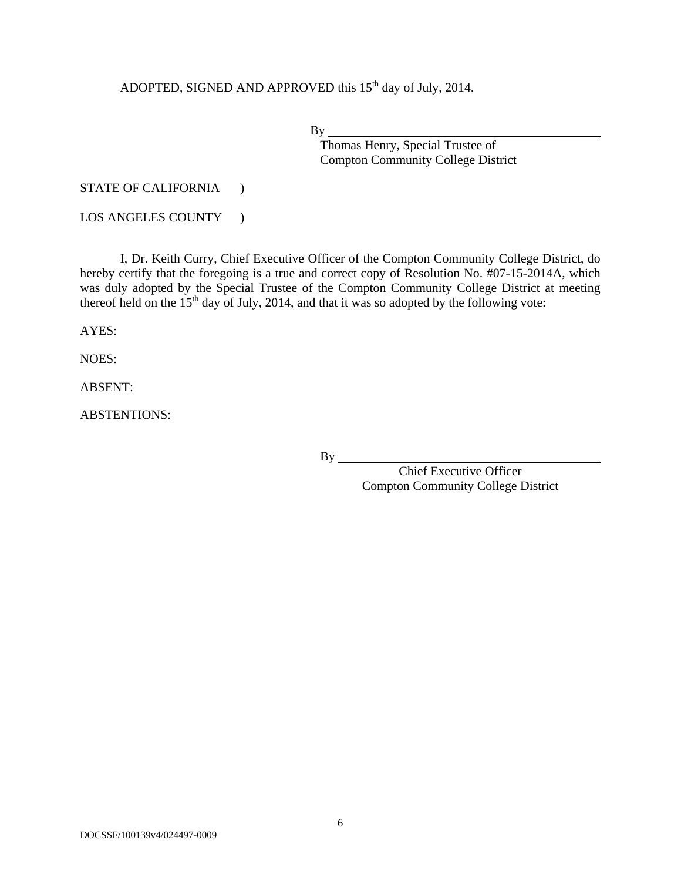ADOPTED, SIGNED AND APPROVED this 15<sup>th</sup> day of July, 2014.

By

Thomas Henry, Special Trustee of Compton Community College District

STATE OF CALIFORNIA )

LOS ANGELES COUNTY )

I, Dr. Keith Curry, Chief Executive Officer of the Compton Community College District, do hereby certify that the foregoing is a true and correct copy of Resolution No. #07-15-2014A, which was duly adopted by the Special Trustee of the Compton Community College District at meeting thereof held on the  $15<sup>th</sup>$  day of July, 2014, and that it was so adopted by the following vote:

AYES:

NOES:

ABSENT:

ABSTENTIONS:

 $By$ <sub>\_\_\_\_</sub>

Chief Executive Officer Compton Community College District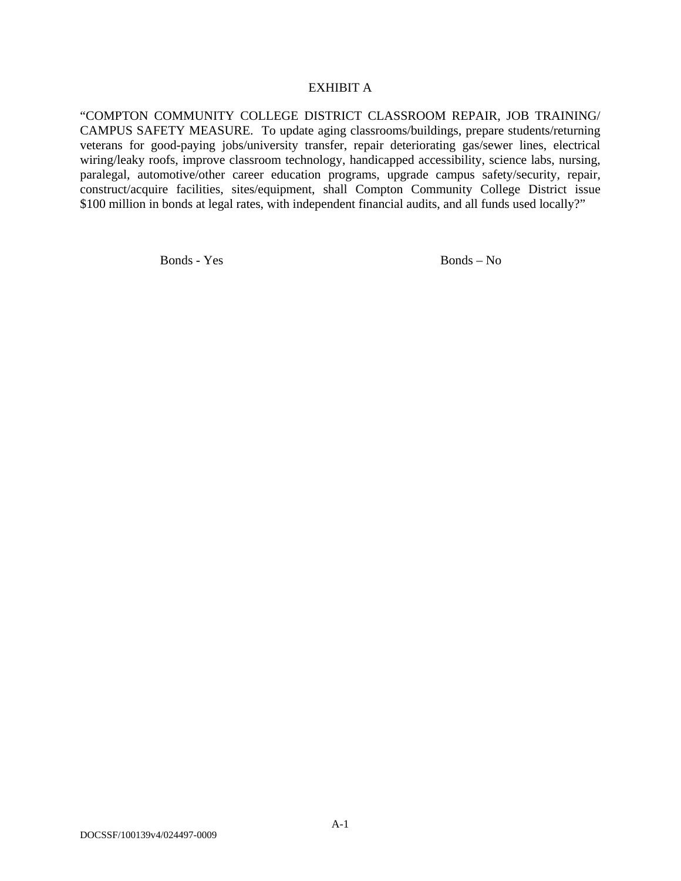### EXHIBIT A

"COMPTON COMMUNITY COLLEGE DISTRICT CLASSROOM REPAIR, JOB TRAINING/ CAMPUS SAFETY MEASURE. To update aging classrooms/buildings, prepare students/returning veterans for good-paying jobs/university transfer, repair deteriorating gas/sewer lines, electrical wiring/leaky roofs, improve classroom technology, handicapped accessibility, science labs, nursing, paralegal, automotive/other career education programs, upgrade campus safety/security, repair, construct/acquire facilities, sites/equipment, shall Compton Community College District issue \$100 million in bonds at legal rates, with independent financial audits, and all funds used locally?"

Bonds - Yes Bonds - No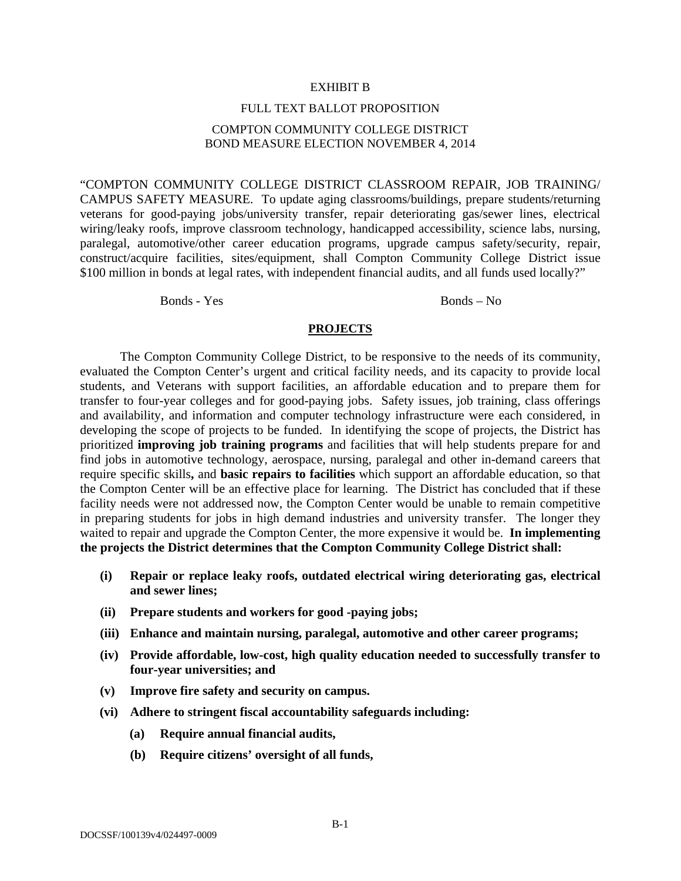#### EXHIBIT B

### FULL TEXT BALLOT PROPOSITION

## COMPTON COMMUNITY COLLEGE DISTRICT BOND MEASURE ELECTION NOVEMBER 4, 2014

"COMPTON COMMUNITY COLLEGE DISTRICT CLASSROOM REPAIR, JOB TRAINING/ CAMPUS SAFETY MEASURE. To update aging classrooms/buildings, prepare students/returning veterans for good-paying jobs/university transfer, repair deteriorating gas/sewer lines, electrical wiring/leaky roofs, improve classroom technology, handicapped accessibility, science labs, nursing, paralegal, automotive/other career education programs, upgrade campus safety/security, repair, construct/acquire facilities, sites/equipment, shall Compton Community College District issue \$100 million in bonds at legal rates, with independent financial audits, and all funds used locally?"

Bonds - Yes Bonds - No

#### **PROJECTS**

The Compton Community College District, to be responsive to the needs of its community, evaluated the Compton Center's urgent and critical facility needs, and its capacity to provide local students, and Veterans with support facilities, an affordable education and to prepare them for transfer to four-year colleges and for good-paying jobs. Safety issues, job training, class offerings and availability, and information and computer technology infrastructure were each considered, in developing the scope of projects to be funded. In identifying the scope of projects, the District has prioritized **improving job training programs** and facilities that will help students prepare for and find jobs in automotive technology, aerospace, nursing, paralegal and other in-demand careers that require specific skills**,** and **basic repairs to facilities** which support an affordable education, so that the Compton Center will be an effective place for learning. The District has concluded that if these facility needs were not addressed now, the Compton Center would be unable to remain competitive in preparing students for jobs in high demand industries and university transfer. The longer they waited to repair and upgrade the Compton Center, the more expensive it would be. **In implementing the projects the District determines that the Compton Community College District shall:**

- **(i) Repair or replace leaky roofs, outdated electrical wiring deteriorating gas, electrical and sewer lines;**
- **(ii) Prepare students and workers for good -paying jobs;**
- **(iii) Enhance and maintain nursing, paralegal, automotive and other career programs;**
- **(iv) Provide affordable, low-cost, high quality education needed to successfully transfer to four-year universities; and**
- **(v) Improve fire safety and security on campus.**
- **(vi) Adhere to stringent fiscal accountability safeguards including:** 
	- **(a) Require annual financial audits,**
	- **(b) Require citizens' oversight of all funds,**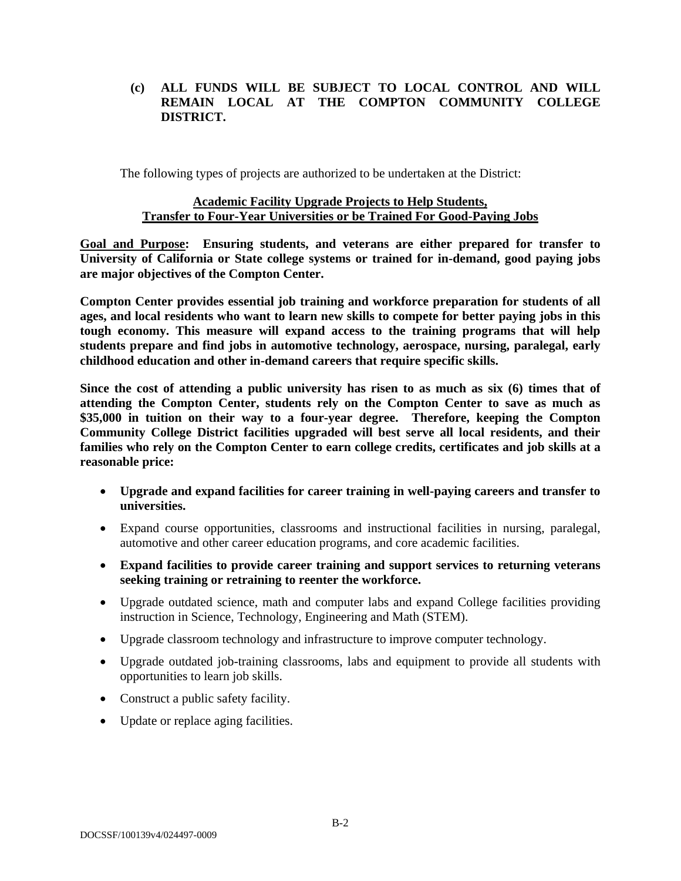# **(c) ALL FUNDS WILL BE SUBJECT TO LOCAL CONTROL AND WILL REMAIN LOCAL AT THE COMPTON COMMUNITY COLLEGE DISTRICT.**

The following types of projects are authorized to be undertaken at the District:

# **Academic Facility Upgrade Projects to Help Students, Transfer to Four-Year Universities or be Trained For Good-Paying Jobs**

**Goal and Purpose: Ensuring students, and veterans are either prepared for transfer to University of California or State college systems or trained for in-demand, good paying jobs are major objectives of the Compton Center.** 

**Compton Center provides essential job training and workforce preparation for students of all ages, and local residents who want to learn new skills to compete for better paying jobs in this tough economy. This measure will expand access to the training programs that will help students prepare and find jobs in automotive technology, aerospace, nursing, paralegal, early childhood education and other in-demand careers that require specific skills.** 

**Since the cost of attending a public university has risen to as much as six (6) times that of attending the Compton Center, students rely on the Compton Center to save as much as \$35,000 in tuition on their way to a four-year degree. Therefore, keeping the Compton Community College District facilities upgraded will best serve all local residents, and their families who rely on the Compton Center to earn college credits, certificates and job skills at a reasonable price:** 

- **Upgrade and expand facilities for career training in well-paying careers and transfer to universities.**
- Expand course opportunities, classrooms and instructional facilities in nursing, paralegal, automotive and other career education programs, and core academic facilities.
- **Expand facilities to provide career training and support services to returning veterans seeking training or retraining to reenter the workforce.**
- Upgrade outdated science, math and computer labs and expand College facilities providing instruction in Science, Technology, Engineering and Math (STEM).
- Upgrade classroom technology and infrastructure to improve computer technology.
- Upgrade outdated job-training classrooms, labs and equipment to provide all students with opportunities to learn job skills.
- Construct a public safety facility.
- Update or replace aging facilities.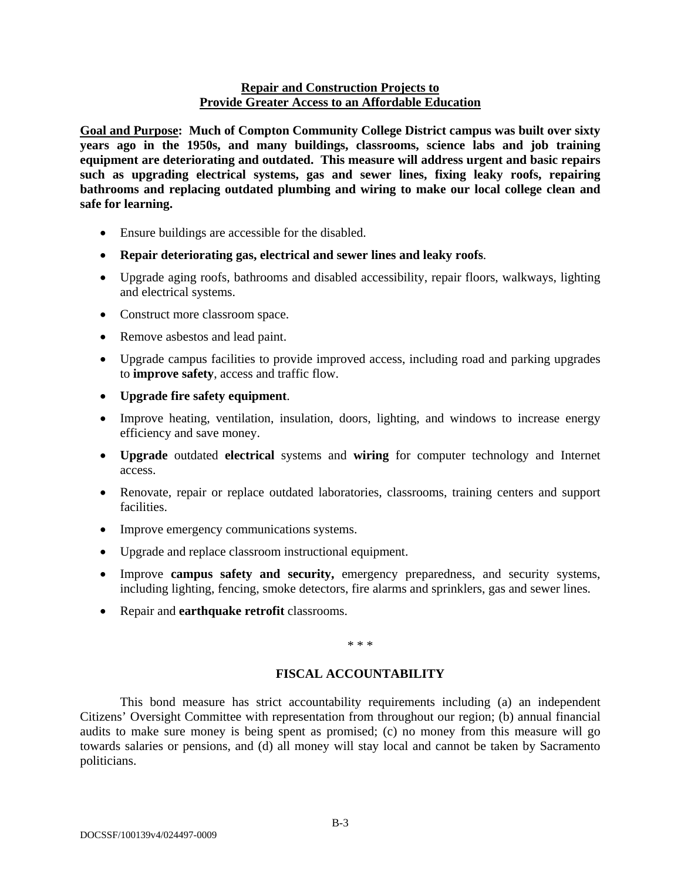## **Repair and Construction Projects to Provide Greater Access to an Affordable Education**

**Goal and Purpose: Much of Compton Community College District campus was built over sixty years ago in the 1950s, and many buildings, classrooms, science labs and job training equipment are deteriorating and outdated. This measure will address urgent and basic repairs such as upgrading electrical systems, gas and sewer lines, fixing leaky roofs, repairing bathrooms and replacing outdated plumbing and wiring to make our local college clean and safe for learning.** 

- Ensure buildings are accessible for the disabled.
- **Repair deteriorating gas, electrical and sewer lines and leaky roofs**.
- Upgrade aging roofs, bathrooms and disabled accessibility, repair floors, walkways, lighting and electrical systems.
- Construct more classroom space.
- Remove asbestos and lead paint.
- Upgrade campus facilities to provide improved access, including road and parking upgrades to **improve safety**, access and traffic flow.
- **Upgrade fire safety equipment**.
- Improve heating, ventilation, insulation, doors, lighting, and windows to increase energy efficiency and save money.
- **Upgrade** outdated **electrical** systems and **wiring** for computer technology and Internet access.
- Renovate, repair or replace outdated laboratories, classrooms, training centers and support facilities.
- Improve emergency communications systems.
- Upgrade and replace classroom instructional equipment.
- Improve **campus safety and security,** emergency preparedness, and security systems, including lighting, fencing, smoke detectors, fire alarms and sprinklers, gas and sewer lines.
- Repair and **earthquake retrofit** classrooms.

\* \* \*

# **FISCAL ACCOUNTABILITY**

This bond measure has strict accountability requirements including (a) an independent Citizens' Oversight Committee with representation from throughout our region; (b) annual financial audits to make sure money is being spent as promised; (c) no money from this measure will go towards salaries or pensions, and (d) all money will stay local and cannot be taken by Sacramento politicians.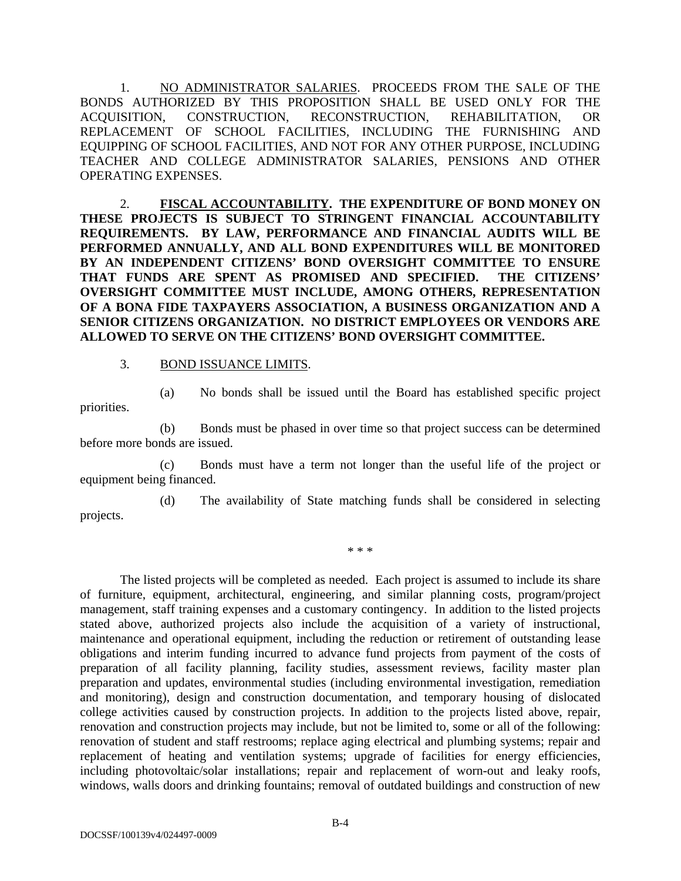1. NO ADMINISTRATOR SALARIES. PROCEEDS FROM THE SALE OF THE BONDS AUTHORIZED BY THIS PROPOSITION SHALL BE USED ONLY FOR THE ACQUISITION, CONSTRUCTION, RECONSTRUCTION, REHABILITATION, OR REPLACEMENT OF SCHOOL FACILITIES, INCLUDING THE FURNISHING AND EQUIPPING OF SCHOOL FACILITIES, AND NOT FOR ANY OTHER PURPOSE, INCLUDING TEACHER AND COLLEGE ADMINISTRATOR SALARIES, PENSIONS AND OTHER OPERATING EXPENSES.

2. **FISCAL ACCOUNTABILITY. THE EXPENDITURE OF BOND MONEY ON THESE PROJECTS IS SUBJECT TO STRINGENT FINANCIAL ACCOUNTABILITY REQUIREMENTS. BY LAW, PERFORMANCE AND FINANCIAL AUDITS WILL BE PERFORMED ANNUALLY, AND ALL BOND EXPENDITURES WILL BE MONITORED BY AN INDEPENDENT CITIZENS' BOND OVERSIGHT COMMITTEE TO ENSURE THAT FUNDS ARE SPENT AS PROMISED AND SPECIFIED. THE CITIZENS' OVERSIGHT COMMITTEE MUST INCLUDE, AMONG OTHERS, REPRESENTATION OF A BONA FIDE TAXPAYERS ASSOCIATION, A BUSINESS ORGANIZATION AND A SENIOR CITIZENS ORGANIZATION. NO DISTRICT EMPLOYEES OR VENDORS ARE ALLOWED TO SERVE ON THE CITIZENS' BOND OVERSIGHT COMMITTEE.**

3. BOND ISSUANCE LIMITS.

priorities.

(a) No bonds shall be issued until the Board has established specific project

(b) Bonds must be phased in over time so that project success can be determined before more bonds are issued.

 (c) Bonds must have a term not longer than the useful life of the project or equipment being financed.

 (d) The availability of State matching funds shall be considered in selecting projects.

\* \* \*

The listed projects will be completed as needed. Each project is assumed to include its share of furniture, equipment, architectural, engineering, and similar planning costs, program/project management, staff training expenses and a customary contingency. In addition to the listed projects stated above, authorized projects also include the acquisition of a variety of instructional, maintenance and operational equipment, including the reduction or retirement of outstanding lease obligations and interim funding incurred to advance fund projects from payment of the costs of preparation of all facility planning, facility studies, assessment reviews, facility master plan preparation and updates, environmental studies (including environmental investigation, remediation and monitoring), design and construction documentation, and temporary housing of dislocated college activities caused by construction projects. In addition to the projects listed above, repair, renovation and construction projects may include, but not be limited to, some or all of the following: renovation of student and staff restrooms; replace aging electrical and plumbing systems; repair and replacement of heating and ventilation systems; upgrade of facilities for energy efficiencies, including photovoltaic/solar installations; repair and replacement of worn-out and leaky roofs, windows, walls doors and drinking fountains; removal of outdated buildings and construction of new